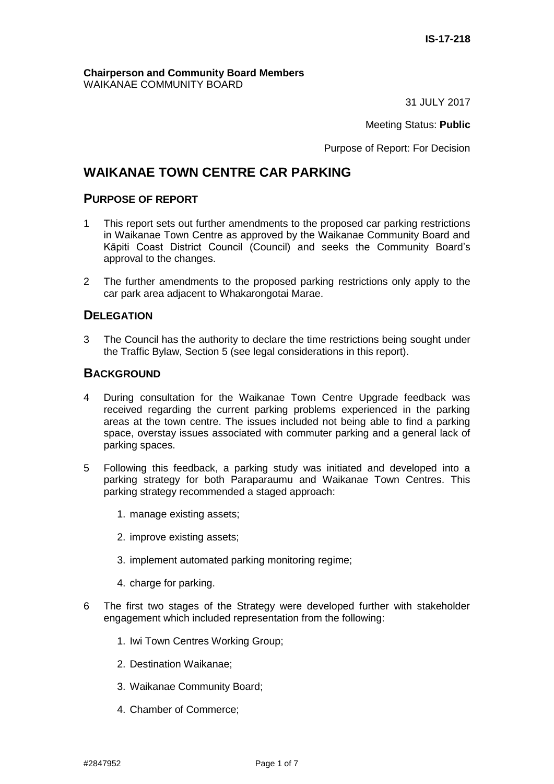#### **Chairperson and Community Board Members** WAIKANAE COMMUNITY BOARD

31 JULY 2017

Meeting Status: **Public**

Purpose of Report: For Decision

# **WAIKANAE TOWN CENTRE CAR PARKING**

### **PURPOSE OF REPORT**

- 1 This report sets out further amendments to the proposed car parking restrictions in Waikanae Town Centre as approved by the Waikanae Community Board and Kāpiti Coast District Council (Council) and seeks the Community Board's approval to the changes.
- 2 The further amendments to the proposed parking restrictions only apply to the car park area adjacent to Whakarongotai Marae.

## **DELEGATION**

3 The Council has the authority to declare the time restrictions being sought under the Traffic Bylaw, Section 5 (see legal considerations in this report).

### **BACKGROUND**

- 4 During consultation for the Waikanae Town Centre Upgrade feedback was received regarding the current parking problems experienced in the parking areas at the town centre. The issues included not being able to find a parking space, overstay issues associated with commuter parking and a general lack of parking spaces.
- 5 Following this feedback, a parking study was initiated and developed into a parking strategy for both Paraparaumu and Waikanae Town Centres. This parking strategy recommended a staged approach:
	- 1. manage existing assets;
	- 2. improve existing assets;
	- 3. implement automated parking monitoring regime;
	- 4. charge for parking.
- 6 The first two stages of the Strategy were developed further with stakeholder engagement which included representation from the following:
	- 1. Iwi Town Centres Working Group;
	- 2. Destination Waikanae;
	- 3. Waikanae Community Board;
	- 4. Chamber of Commerce;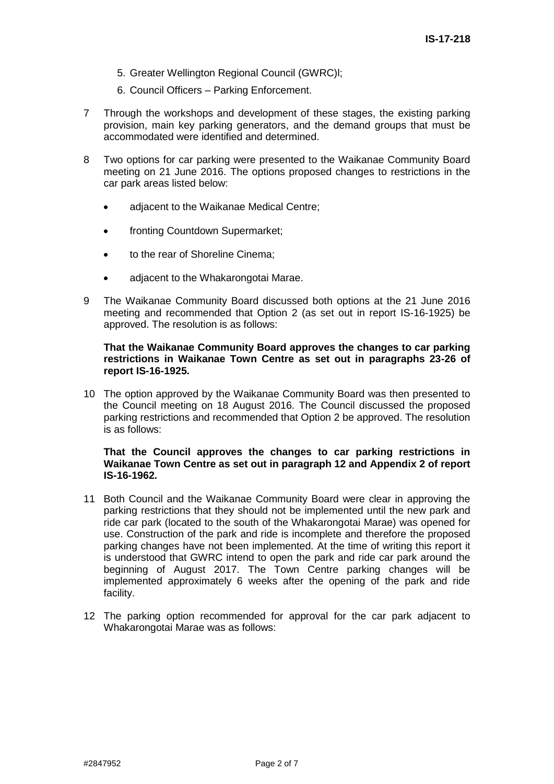- 5. Greater Wellington Regional Council (GWRC)l;
- 6. Council Officers Parking Enforcement.
- 7 Through the workshops and development of these stages, the existing parking provision, main key parking generators, and the demand groups that must be accommodated were identified and determined.
- 8 Two options for car parking were presented to the Waikanae Community Board meeting on 21 June 2016. The options proposed changes to restrictions in the car park areas listed below:
	- adjacent to the Waikanae Medical Centre;
	- fronting Countdown Supermarket;
	- to the rear of Shoreline Cinema;
	- adjacent to the Whakarongotai Marae.
- 9 The Waikanae Community Board discussed both options at the 21 June 2016 meeting and recommended that Option 2 (as set out in report IS-16-1925) be approved. The resolution is as follows:

#### **That the Waikanae Community Board approves the changes to car parking restrictions in Waikanae Town Centre as set out in paragraphs 23-26 of report IS-16-1925.**

10 The option approved by the Waikanae Community Board was then presented to the Council meeting on 18 August 2016. The Council discussed the proposed parking restrictions and recommended that Option 2 be approved. The resolution is as follows:

#### **That the Council approves the changes to car parking restrictions in Waikanae Town Centre as set out in paragraph 12 and Appendix 2 of report IS-16-1962.**

- 11 Both Council and the Waikanae Community Board were clear in approving the parking restrictions that they should not be implemented until the new park and ride car park (located to the south of the Whakarongotai Marae) was opened for use. Construction of the park and ride is incomplete and therefore the proposed parking changes have not been implemented. At the time of writing this report it is understood that GWRC intend to open the park and ride car park around the beginning of August 2017. The Town Centre parking changes will be implemented approximately 6 weeks after the opening of the park and ride facility.
- 12 The parking option recommended for approval for the car park adjacent to Whakarongotai Marae was as follows: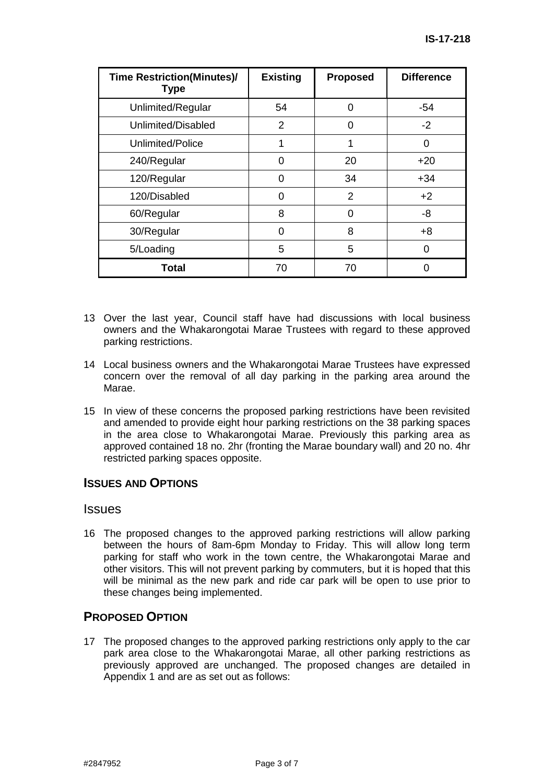| <b>Time Restriction(Minutes)/</b><br><b>Type</b> | <b>Existing</b> | <b>Proposed</b> | <b>Difference</b> |
|--------------------------------------------------|-----------------|-----------------|-------------------|
| Unlimited/Regular                                | 54              | O               | $-54$             |
| Unlimited/Disabled                               | 2               | O               | $-2$              |
| Unlimited/Police                                 | 1               |                 | 0                 |
| 240/Regular                                      | O               | 20              | $+20$             |
| 120/Regular                                      | O               | 34              | $+34$             |
| 120/Disabled                                     | Ω               | 2               | $+2$              |
| 60/Regular                                       | 8               | O               | -8                |
| 30/Regular                                       | 0               | 8               | $+8$              |
| 5/Loading                                        | 5               | 5               | ∩                 |
| Total                                            | 70              | 70              |                   |

- 13 Over the last year, Council staff have had discussions with local business owners and the Whakarongotai Marae Trustees with regard to these approved parking restrictions.
- 14 Local business owners and the Whakarongotai Marae Trustees have expressed concern over the removal of all day parking in the parking area around the Marae.
- 15 In view of these concerns the proposed parking restrictions have been revisited and amended to provide eight hour parking restrictions on the 38 parking spaces in the area close to Whakarongotai Marae. Previously this parking area as approved contained 18 no. 2hr (fronting the Marae boundary wall) and 20 no. 4hr restricted parking spaces opposite.

### **ISSUES AND OPTIONS**

### Issues

16 The proposed changes to the approved parking restrictions will allow parking between the hours of 8am-6pm Monday to Friday. This will allow long term parking for staff who work in the town centre, the Whakarongotai Marae and other visitors. This will not prevent parking by commuters, but it is hoped that this will be minimal as the new park and ride car park will be open to use prior to these changes being implemented.

## **PROPOSED OPTION**

17 The proposed changes to the approved parking restrictions only apply to the car park area close to the Whakarongotai Marae, all other parking restrictions as previously approved are unchanged. The proposed changes are detailed in Appendix 1 and are as set out as follows: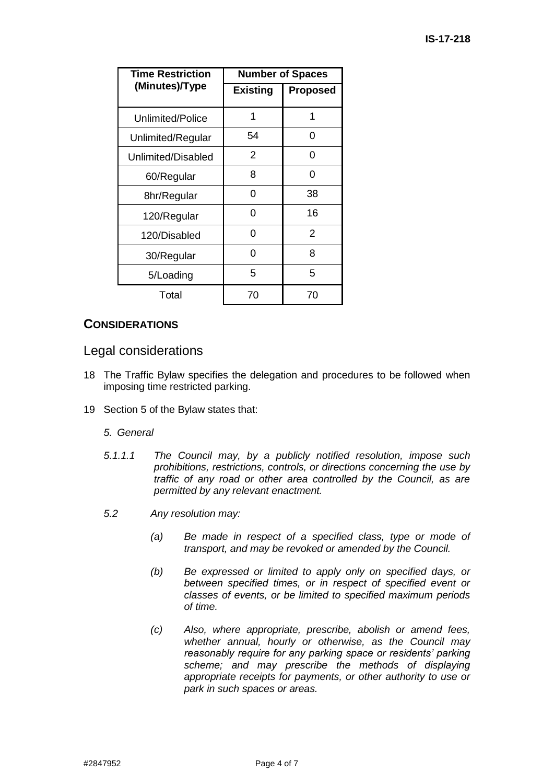| Time Restriction   | <b>Number of Spaces</b> |                 |
|--------------------|-------------------------|-----------------|
| (Minutes)/Type     | <b>Existing</b>         | <b>Proposed</b> |
| Unlimited/Police   | 1                       | 1               |
| Unlimited/Regular  | 54                      | 0               |
| Unlimited/Disabled | 2                       | 0               |
| 60/Regular         | 8                       | 0               |
| 8hr/Regular        | 0                       | 38              |
| 120/Regular        | 0                       | 16              |
| 120/Disabled       | 0                       | 2               |
| 30/Regular         | 0                       | 8               |
| 5/Loading          | 5                       | 5               |
| Total              | 70                      | 70              |

## **CONSIDERATIONS**

### Legal considerations

- 18 The Traffic Bylaw specifies the delegation and procedures to be followed when imposing time restricted parking.
- 19 Section 5 of the Bylaw states that:

### *5. General*

- *5.1.1.1 The Council may, by a publicly notified resolution, impose such prohibitions, restrictions, controls, or directions concerning the use by traffic of any road or other area controlled by the Council, as are permitted by any relevant enactment.*
- *5.2 Any resolution may:*
	- *(a) Be made in respect of a specified class, type or mode of transport, and may be revoked or amended by the Council.*
	- *(b) Be expressed or limited to apply only on specified days, or between specified times, or in respect of specified event or classes of events, or be limited to specified maximum periods of time.*
	- *(c) Also, where appropriate, prescribe, abolish or amend fees, whether annual, hourly or otherwise, as the Council may reasonably require for any parking space or residents' parking scheme; and may prescribe the methods of displaying appropriate receipts for payments, or other authority to use or park in such spaces or areas.*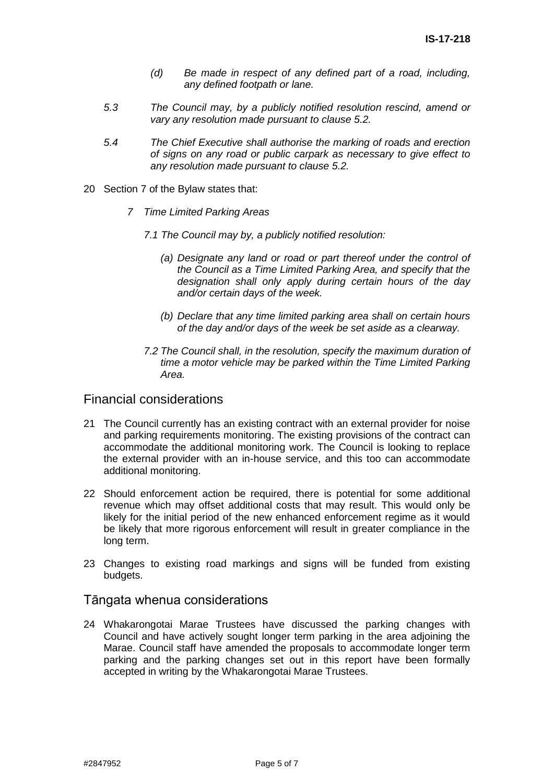- *(d) Be made in respect of any defined part of a road, including, any defined footpath or lane.*
- *5.3 The Council may, by a publicly notified resolution rescind, amend or vary any resolution made pursuant to clause 5.2.*
- *5.4 The Chief Executive shall authorise the marking of roads and erection of signs on any road or public carpark as necessary to give effect to any resolution made pursuant to clause 5.2.*
- 20 Section 7 of the Bylaw states that:
	- *7 Time Limited Parking Areas*
		- *7.1 The Council may by, a publicly notified resolution:*
			- *(a) Designate any land or road or part thereof under the control of the Council as a Time Limited Parking Area, and specify that the designation shall only apply during certain hours of the day and/or certain days of the week.*
			- *(b) Declare that any time limited parking area shall on certain hours of the day and/or days of the week be set aside as a clearway.*
		- *7.2 The Council shall, in the resolution, specify the maximum duration of time a motor vehicle may be parked within the Time Limited Parking Area.*

### Financial considerations

- 21 The Council currently has an existing contract with an external provider for noise and parking requirements monitoring. The existing provisions of the contract can accommodate the additional monitoring work. The Council is looking to replace the external provider with an in-house service, and this too can accommodate additional monitoring.
- 22 Should enforcement action be required, there is potential for some additional revenue which may offset additional costs that may result. This would only be likely for the initial period of the new enhanced enforcement regime as it would be likely that more rigorous enforcement will result in greater compliance in the long term.
- 23 Changes to existing road markings and signs will be funded from existing budgets.

### Tāngata whenua considerations

24 Whakarongotai Marae Trustees have discussed the parking changes with Council and have actively sought longer term parking in the area adjoining the Marae. Council staff have amended the proposals to accommodate longer term parking and the parking changes set out in this report have been formally accepted in writing by the Whakarongotai Marae Trustees.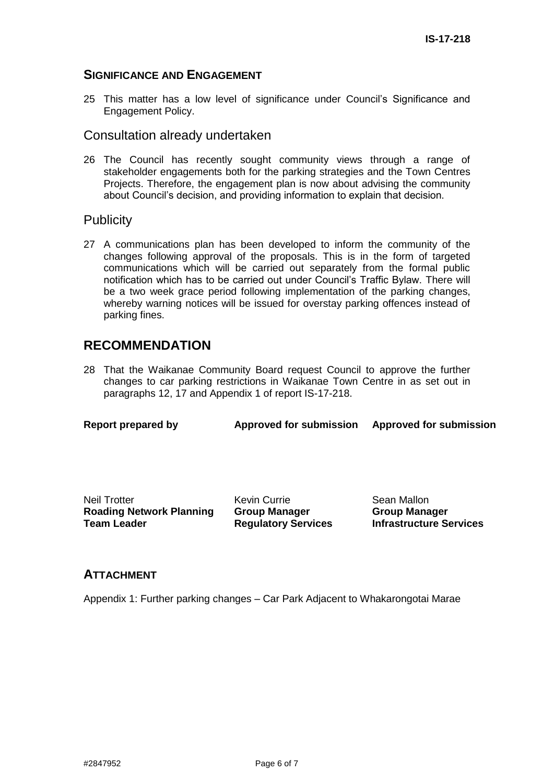### **SIGNIFICANCE AND ENGAGEMENT**

25 This matter has a low level of significance under Council's Significance and Engagement Policy.

### Consultation already undertaken

26 The Council has recently sought community views through a range of stakeholder engagements both for the parking strategies and the Town Centres Projects. Therefore, the engagement plan is now about advising the community about Council's decision, and providing information to explain that decision.

### **Publicity**

27 A communications plan has been developed to inform the community of the changes following approval of the proposals. This is in the form of targeted communications which will be carried out separately from the formal public notification which has to be carried out under Council's Traffic Bylaw. There will be a two week grace period following implementation of the parking changes, whereby warning notices will be issued for overstay parking offences instead of parking fines.

# **RECOMMENDATION**

28 That the Waikanae Community Board request Council to approve the further changes to car parking restrictions in Waikanae Town Centre in as set out in paragraphs 12, 17 and Appendix 1 of report IS-17-218.

| <b>Report prepared by</b> | <b>Approved for submission</b> | <b>Approved for submission</b> |
|---------------------------|--------------------------------|--------------------------------|

Neil Trotter **Roading Network Planning Team Leader**

Kevin Currie **Group Manager Regulatory Services**

Sean Mallon **Group Manager Infrastructure Services**

### **ATTACHMENT**

Appendix 1: Further parking changes – Car Park Adjacent to Whakarongotai Marae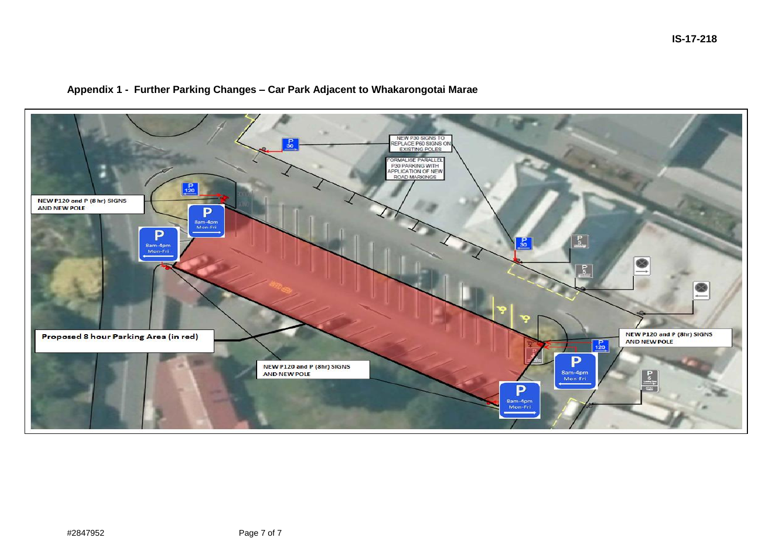# NEW P30 SIGNS TO<br>REPLACE P60 SIGNS ON<br>EXISTING POLES FORMALISE PARALLEL<br>P30 PARKING WITH<br>APPLICATION OF NEW<br>ROAD MARKINGS  $_{120}^{\text{P}}$ NEW P120 and P (8 hr) SIGNS AND NEW POLE P Sam-4pm<br>Mon-Fri P  $\mathsf{P}_5$ 50. 8am-4pm<br>Mon-Fri  $\frac{P}{5}$ NEW P120 and P (8hr) SIGNS<br>AND NEW POLE Proposed 8 hour Parking Area (in red)  $P$ <sub>120</sub> P NEW P120 and P (8hr) SIGNS<br>AND NEW POLE 8am-4pm Mon-Fri P 8am-4pm Mon-Fri

### **Appendix 1 - Further Parking Changes – Car Park Adjacent to Whakarongotai Marae**